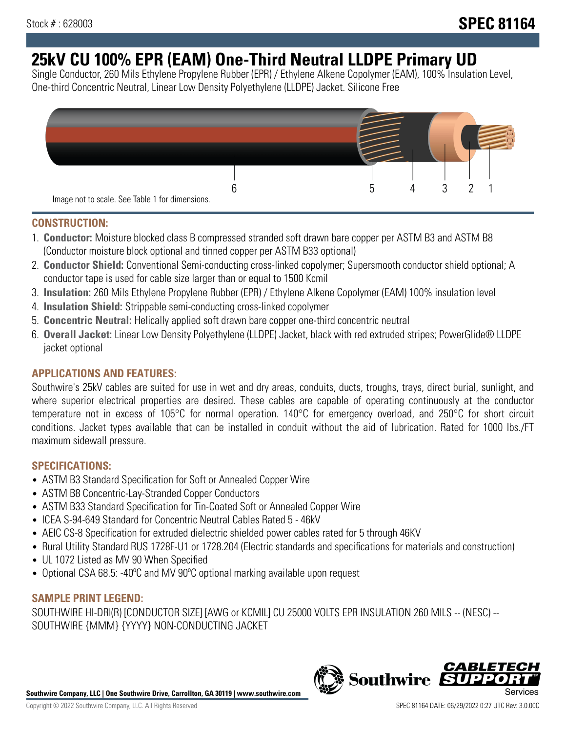# **25kV CU 100% EPR (EAM) One-Third Neutral LLDPE Primary UD**

Single Conductor, 260 Mils Ethylene Propylene Rubber (EPR) / Ethylene Alkene Copolymer (EAM), 100% Insulation Level, One-third Concentric Neutral, Linear Low Density Polyethylene (LLDPE) Jacket. Silicone Free



# **CONSTRUCTION:**

- 1. **Conductor:** Moisture blocked class B compressed stranded soft drawn bare copper per ASTM B3 and ASTM B8 (Conductor moisture block optional and tinned copper per ASTM B33 optional)
- 2. **Conductor Shield:** Conventional Semi-conducting cross-linked copolymer; Supersmooth conductor shield optional; A conductor tape is used for cable size larger than or equal to 1500 Kcmil
- 3. **Insulation:** 260 Mils Ethylene Propylene Rubber (EPR) / Ethylene Alkene Copolymer (EAM) 100% insulation level
- 4. **Insulation Shield:** Strippable semi-conducting cross-linked copolymer
- 5. **Concentric Neutral:** Helically applied soft drawn bare copper one-third concentric neutral
- 6. **Overall Jacket:** Linear Low Density Polyethylene (LLDPE) Jacket, black with red extruded stripes; PowerGlide® LLDPE jacket optional

# **APPLICATIONS AND FEATURES:**

Southwire's 25kV cables are suited for use in wet and dry areas, conduits, ducts, troughs, trays, direct burial, sunlight, and where superior electrical properties are desired. These cables are capable of operating continuously at the conductor temperature not in excess of 105°C for normal operation. 140°C for emergency overload, and 250°C for short circuit conditions. Jacket types available that can be installed in conduit without the aid of lubrication. Rated for 1000 lbs./FT maximum sidewall pressure.

# **SPECIFICATIONS:**

- ASTM B3 Standard Specification for Soft or Annealed Copper Wire
- ASTM B8 Concentric-Lay-Stranded Copper Conductors
- ASTM B33 Standard Specification for Tin-Coated Soft or Annealed Copper Wire
- ICEA S-94-649 Standard for Concentric Neutral Cables Rated 5 46kV
- AEIC CS-8 Specification for extruded dielectric shielded power cables rated for 5 through 46KV
- Rural Utility Standard RUS 1728F-U1 or 1728.204 (Electric standards and specifications for materials and construction)
- UL 1072 Listed as MV 90 When Specified
- Optional CSA 68.5: -40°C and MV 90°C optional marking available upon request

# **SAMPLE PRINT LEGEND:**

SOUTHWIRE HI-DRI(R) [CONDUCTOR SIZE] [AWG or KCMIL] CU 25000 VOLTS EPR INSULATION 260 MILS -- (NESC) -- SOUTHWIRE {MMM} {YYYY} NON-CONDUCTING JACKET

**Southwire Company, LLC | One Southwire Drive, Carrollton, GA 30119 | www.southwire.com**